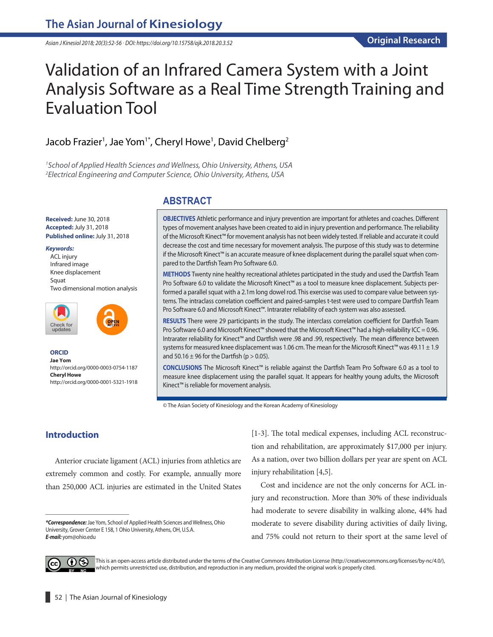*Asian J Kinesiol 2018; 20(3):52-56 · DOI: https://doi.org/10.15758/ajk.2018.20.3.52*

# Validation of an Infrared Camera System with a Joint Analysis Software as a Real Time Strength Training and Evaluation Tool

## Jacob Frazier<sup>1</sup>, Jae Yom<sup>1\*</sup>, Cheryl Howe<sup>1</sup>, David Chelberg<sup>2</sup>

*1 School of Applied Health Sciences and Wellness, Ohio University, Athens, USA 2 Electrical Engineering and Computer Science, Ohio University, Athens, USA*

## **ABSTRACT**

**OBJECTIVES** Athletic performance and injury prevention are important for athletes and coaches. Different types of movement analyses have been created to aid in injury prevention and performance. The reliability of the Microsoft Kinect™ for movement analysis has not been widely tested. If reliable and accurate it could decrease the cost and time necessary for movement analysis. The purpose of this study was to determine if the Microsoft Kinect™ is an accurate measure of knee displacement during the parallel squat when compared to the Dartfish Team Pro Software 6.0.

**METHODS** Twenty nine healthy recreational athletes participated in the study and used the Dartfish Team Pro Software 6.0 to validate the Microsoft Kinect™ as a tool to measure knee displacement. Subjects performed a parallel squat with a 2.1m long dowel rod. This exercise was used to compare value between systems. The intraclass correlation coefficient and paired-samples t-test were used to compare Dartfish Team Pro Software 6.0 and Microsoft Kinect™. Intrarater reliability of each system was also assessed.

**RESULTS** There were 29 participants in the study. The interclass correlation coefficient for Dartfish Team Pro Software 6.0 and Microsoft Kinect™ showed that the Microsoft Kinect™ had a high-reliability ICC = 0.96. Intrarater reliability for Kinect™ and Dartfish were .98 and .99, respectively. The mean difference between systems for measured knee displacement was 1.06 cm. The mean for the Microsoft Kinect™ was 49.11 ± 1.9 and 50.16  $\pm$  96 for the Dartfish (p  $>$  0.05).

**CONCLUSIONS** The Microsoft Kinect™ is reliable against the Dartfish Team Pro Software 6.0 as a tool to measure knee displacement using the parallel squat. It appears for healthy young adults, the Microsoft Kinect™ is reliable for movement analysis.

© The Asian Society of Kinesiology and the Korean Academy of Kinesiology

## **Introduction**

**Received:**June 30, 2018 **Accepted:**July 31, 2018 **Published online:**July 31, 2018

Two dimensional motion analysis

http://orcid.org/0000-0003-0754-1187

http://orcid.org/0000-0001-5321-1918

*Keywords:* ACL injury Infrared image Knee displacement

**Squat** 

**ORCID Jae Yom**

Check for<br>updates

**Cheryl Howe** 

Anterior cruciate ligament (ACL) injuries from athletics are extremely common and costly. For example, annually more than 250,000 ACL injuries are estimated in the United States [1-3]. The total medical expenses, including ACL reconstruction and rehabilitation, are approximately \$17,000 per injury. As a nation, over two billion dollars per year are spent on ACL injury rehabilitation [4,5].

Cost and incidence are not the only concerns for ACL injury and reconstruction. More than 30% of these individuals had moderate to severe disability in walking alone, 44% had moderate to severe disability during activities of daily living, and 75% could not return to their sport at the same level of



This is an open-access article distributed under the terms of the Creative Commons Attribution License (http://creativecommons.org/licenses/by-nc/4.0/), which permits unrestricted use, distribution, and reproduction in any medium, provided the original work is properly cited.

*<sup>\*</sup>Correspondence:*Jae Yom, School of Applied Health Sciences and Wellness, Ohio University, Grover Center E 158, 1 Ohio University, Athens, OH, U.S.A. *E-mail:* yom@ohio.edu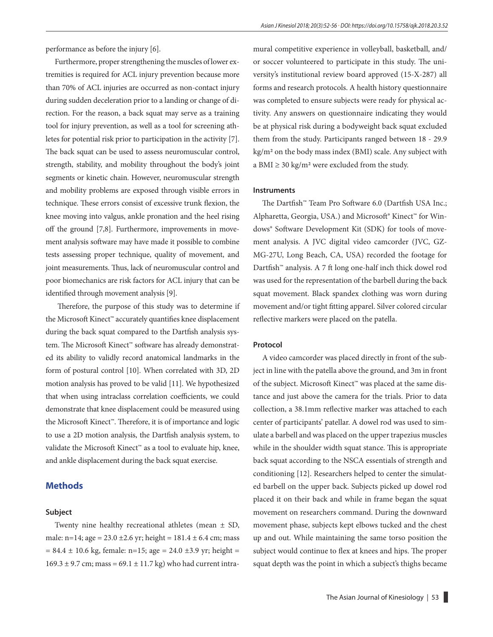performance as before the injury [6].

Furthermore, proper strengthening the muscles of lower extremities is required for ACL injury prevention because more than 70% of ACL injuries are occurred as non-contact injury during sudden deceleration prior to a landing or change of direction. For the reason, a back squat may serve as a training tool for injury prevention, as well as a tool for screening athletes for potential risk prior to participation in the activity [7]. The back squat can be used to assess neuromuscular control, strength, stability, and mobility throughout the body's joint segments or kinetic chain. However, neuromuscular strength and mobility problems are exposed through visible errors in technique. These errors consist of excessive trunk flexion, the knee moving into valgus, ankle pronation and the heel rising off the ground [7,8]. Furthermore, improvements in movement analysis software may have made it possible to combine tests assessing proper technique, quality of movement, and joint measurements. Thus, lack of neuromuscular control and poor biomechanics are risk factors for ACL injury that can be identified through movement analysis [9].

 Therefore, the purpose of this study was to determine if the Microsoft Kinect™ accurately quantifies knee displacement during the back squat compared to the Dartfish analysis system. The Microsoft Kinect™ software has already demonstrated its ability to validly record anatomical landmarks in the form of postural control [10]. When correlated with 3D, 2D motion analysis has proved to be valid [11]. We hypothesized that when using intraclass correlation coefficients, we could demonstrate that knee displacement could be measured using the Microsoft Kinect™. Therefore, it is of importance and logic to use a 2D motion analysis, the Dartfish analysis system, to validate the Microsoft Kinect™ as a tool to evaluate hip, knee, and ankle displacement during the back squat exercise.

## **Methods**

#### **Subject**

Twenty nine healthy recreational athletes (mean ± SD, male: n=14; age =  $23.0 \pm 2.6$  yr; height =  $181.4 \pm 6.4$  cm; mass  $= 84.4 \pm 10.6$  kg, female: n=15; age = 24.0 ±3.9 yr; height =  $169.3 \pm 9.7$  cm; mass =  $69.1 \pm 11.7$  kg) who had current intramural competitive experience in volleyball, basketball, and/ or soccer volunteered to participate in this study. The university's institutional review board approved (15-X-287) all forms and research protocols. A health history questionnaire was completed to ensure subjects were ready for physical activity. Any answers on questionnaire indicating they would be at physical risk during a bodyweight back squat excluded them from the study. Participants ranged between 18 - 29.9 kg/m2 on the body mass index (BMI) scale. Any subject with a BMI  $\geq$  30 kg/m<sup>2</sup> were excluded from the study.

#### **Instruments**

The Dartfish™ Team Pro Software 6.0 (Dartfish USA Inc.; Alpharetta, Georgia, USA.) and Microsoft® Kinect™ for Windows® Software Development Kit (SDK) for tools of movement analysis. A JVC digital video camcorder (JVC, GZ-MG-27U, Long Beach, CA, USA) recorded the footage for Dartfish™ analysis. A 7 ft long one-half inch thick dowel rod was used for the representation of the barbell during the back squat movement. Black spandex clothing was worn during movement and/or tight fitting apparel. Silver colored circular reflective markers were placed on the patella.

#### **Protocol**

A video camcorder was placed directly in front of the subject in line with the patella above the ground, and 3m in front of the subject. Microsoft Kinect™ was placed at the same distance and just above the camera for the trials. Prior to data collection, a 38.1mm reflective marker was attached to each center of participants' patellar. A dowel rod was used to simulate a barbell and was placed on the upper trapezius muscles while in the shoulder width squat stance. This is appropriate back squat according to the NSCA essentials of strength and conditioning [12]. Researchers helped to center the simulated barbell on the upper back. Subjects picked up dowel rod placed it on their back and while in frame began the squat movement on researchers command. During the downward movement phase, subjects kept elbows tucked and the chest up and out. While maintaining the same torso position the subject would continue to flex at knees and hips. The proper squat depth was the point in which a subject's thighs became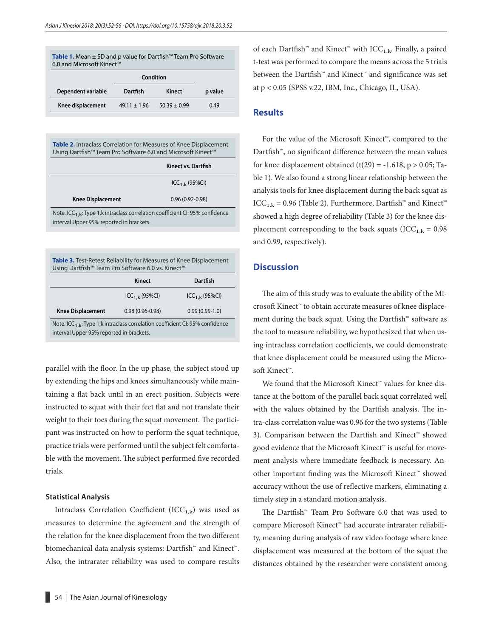| <b>Table 1.</b> Mean $±$ SD and p value for Dartfish <sup>™</sup> Team Pro Software<br>6.0 and Microsoft Kinect™ |                  |                  |         |  |
|------------------------------------------------------------------------------------------------------------------|------------------|------------------|---------|--|
|                                                                                                                  | Condition        |                  |         |  |
| Dependent variable                                                                                               | Dartfish         | Kinect           | p value |  |
| Knee displacement                                                                                                | $49.11 \pm 1.96$ | $50.39 \pm 0.99$ | 0.49    |  |

**Table 2.** Intraclass Correlation for Measures of Knee Displacement Using Dartfish™ Team Pro Software 6.0 and Microsoft Kinect™

|                                                                                          | Kinect vs. Dartfish |  |
|------------------------------------------------------------------------------------------|---------------------|--|
|                                                                                          | $ICC_{1,k}$ (95%CI) |  |
| <b>Knee Displacement</b>                                                                 | $0.96(0.92 - 0.98)$ |  |
| Note. ICC <sub>1</sub> k: Type 1,k intraclass correlation coefficient CI: 95% confidence |                     |  |
| interval Upper 95% reported in brackets.                                                 |                     |  |

| Table 3. Test-Retest Reliability for Measures of Knee Displacement<br>Using Dartfish™ Team Pro Software 6.0 vs. Kinect™               |                     |                  |  |  |
|---------------------------------------------------------------------------------------------------------------------------------------|---------------------|------------------|--|--|
|                                                                                                                                       | Kinect              | Dartfish         |  |  |
|                                                                                                                                       | $ICC_{1,k}$ (95%CI) | $ICC1.k$ (95%CI) |  |  |
| <b>Knee Displacement</b>                                                                                                              | $0.98(0.96 - 0.98)$ | $0.99(0.99-1.0)$ |  |  |
| Note. ICC <sub>1.k</sub> : Type 1,k intraclass correlation coefficient CI: 95% confidence<br>interval Upper 95% reported in brackets. |                     |                  |  |  |

parallel with the floor. In the up phase, the subject stood up by extending the hips and knees simultaneously while maintaining a flat back until in an erect position. Subjects were instructed to squat with their feet flat and not translate their weight to their toes during the squat movement. The participant was instructed on how to perform the squat technique, practice trials were performed until the subject felt comfortable with the movement. The subject performed five recorded trials.

#### **Statistical Analysis**

Intraclass Correlation Coefficient  $(ICC_{1,k})$  was used as measures to determine the agreement and the strength of the relation for the knee displacement from the two different biomechanical data analysis systems: Dartfish™ and Kinect™. Also, the intrarater reliability was used to compare results

of each Dartfish<sup>™</sup> and Kinect<sup>™</sup> with ICC<sub>1,k</sub>. Finally, a paired t-test was performed to compare the means across the 5 trials between the Dartfish™ and Kinect™ and significance was set at p < 0.05 (SPSS v.22, IBM, Inc., Chicago, IL, USA).

#### **Results**

For the value of the Microsoft Kinect™, compared to the Dartfish™, no significant difference between the mean values for knee displacement obtained  $(t(29) = -1.618, p > 0.05; Ta$ ble 1). We also found a strong linear relationship between the analysis tools for knee displacement during the back squat as ICC<sub>1,k</sub> = 0.96 (Table 2). Furthermore, Dartfish™ and Kinect™ showed a high degree of reliability (Table 3) for the knee displacement corresponding to the back squats (ICC<sub>1,k</sub> = 0.98) and 0.99, respectively).

## **Discussion**

The aim of this study was to evaluate the ability of the Microsoft Kinect™ to obtain accurate measures of knee displacement during the back squat. Using the Dartfish™ software as the tool to measure reliability, we hypothesized that when using intraclass correlation coefficients, we could demonstrate that knee displacement could be measured using the Microsoft Kinect™.

We found that the Microsoft Kinect™ values for knee distance at the bottom of the parallel back squat correlated well with the values obtained by the Dartfish analysis. The intra-class correlation value was 0.96 for the two systems (Table 3). Comparison between the Dartfish and Kinect™ showed good evidence that the Microsoft Kinect™ is useful for movement analysis where immediate feedback is necessary. Another important finding was the Microsoft Kinect™ showed accuracy without the use of reflective markers, eliminating a timely step in a standard motion analysis.

The Dartfish™ Team Pro Software 6.0 that was used to compare Microsoft Kinect™ had accurate intrarater reliability, meaning during analysis of raw video footage where knee displacement was measured at the bottom of the squat the distances obtained by the researcher were consistent among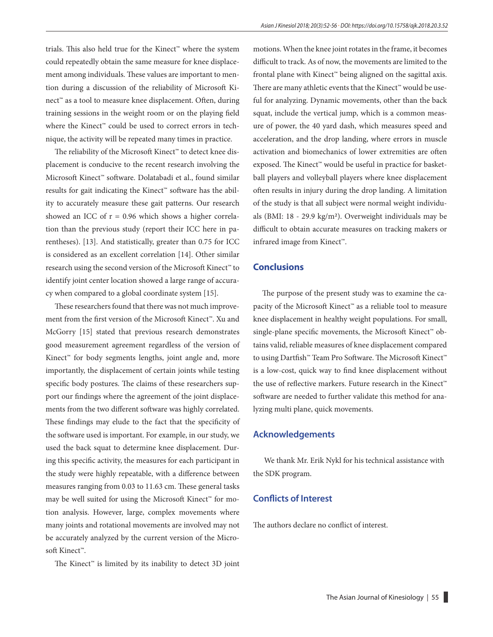trials. This also held true for the Kinect™ where the system could repeatedly obtain the same measure for knee displacement among individuals. These values are important to mention during a discussion of the reliability of Microsoft Kinect™ as a tool to measure knee displacement. Often, during training sessions in the weight room or on the playing field where the Kinect™ could be used to correct errors in technique, the activity will be repeated many times in practice.

The reliability of the Microsoft Kinect™ to detect knee displacement is conducive to the recent research involving the Microsoft Kinect™ software. Dolatabadi et al., found similar results for gait indicating the Kinect™ software has the ability to accurately measure these gait patterns. Our research showed an ICC of  $r = 0.96$  which shows a higher correlation than the previous study (report their ICC here in parentheses). [13]. And statistically, greater than 0.75 for ICC is considered as an excellent correlation [14]. Other similar research using the second version of the Microsoft Kinect™ to identify joint center location showed a large range of accuracy when compared to a global coordinate system [15].

These researchers found that there was not much improvement from the first version of the Microsoft Kinect™. Xu and McGorry [15] stated that previous research demonstrates good measurement agreement regardless of the version of Kinect™ for body segments lengths, joint angle and, more importantly, the displacement of certain joints while testing specific body postures. The claims of these researchers support our findings where the agreement of the joint displacements from the two different software was highly correlated. These findings may elude to the fact that the specificity of the software used is important. For example, in our study, we used the back squat to determine knee displacement. During this specific activity, the measures for each participant in the study were highly repeatable, with a difference between measures ranging from 0.03 to 11.63 cm. These general tasks may be well suited for using the Microsoft Kinect™ for motion analysis. However, large, complex movements where many joints and rotational movements are involved may not be accurately analyzed by the current version of the Microsoft Kinect™.

The Kinect™ is limited by its inability to detect 3D joint

motions. When the knee joint rotates in the frame, it becomes difficult to track. As of now, the movements are limited to the frontal plane with Kinect™ being aligned on the sagittal axis. There are many athletic events that the Kinect™ would be useful for analyzing. Dynamic movements, other than the back squat, include the vertical jump, which is a common measure of power, the 40 yard dash, which measures speed and acceleration, and the drop landing, where errors in muscle activation and biomechanics of lower extremities are often exposed. The Kinect™ would be useful in practice for basketball players and volleyball players where knee displacement often results in injury during the drop landing. A limitation of the study is that all subject were normal weight individuals (BMI: 18 - 29.9 kg/m2). Overweight individuals may be difficult to obtain accurate measures on tracking makers or infrared image from Kinect™.

#### **Conclusions**

The purpose of the present study was to examine the capacity of the Microsoft Kinect™ as a reliable tool to measure knee displacement in healthy weight populations. For small, single-plane specific movements, the Microsoft Kinect™ obtains valid, reliable measures of knee displacement compared to using Dartfish™ Team Pro Software. The Microsoft Kinect™ is a low-cost, quick way to find knee displacement without the use of reflective markers. Future research in the Kinect™ software are needed to further validate this method for analyzing multi plane, quick movements.

#### **Acknowledgements**

 We thank Mr. Erik Nykl for his technical assistance with the SDK program.

### **Conflicts of Interest**

The authors declare no conflict of interest.